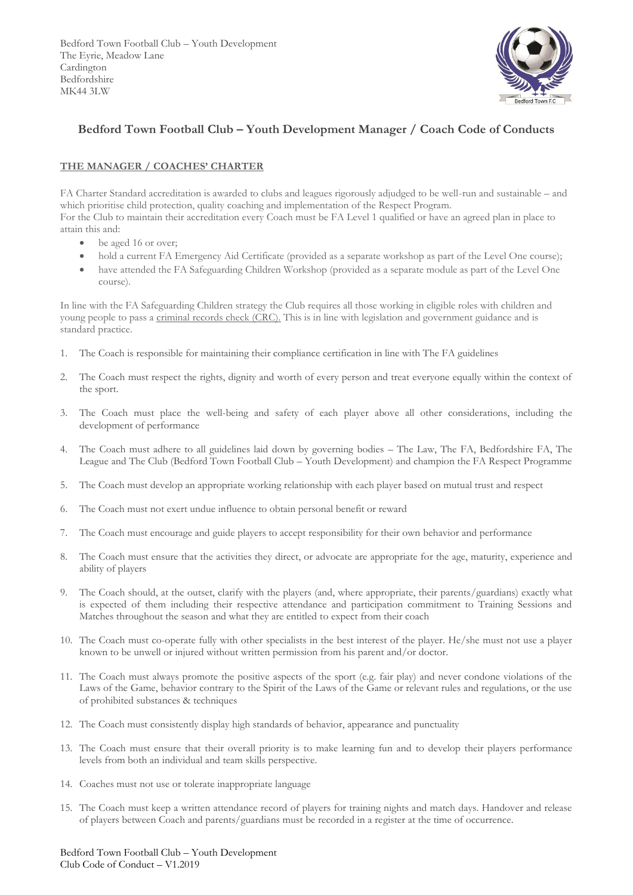Bedford Town Football Club – Youth Development The Eyrie, Meadow Lane Cardington Bedfordshire MK44 3LW



## **Bedford Town Football Club – Youth Development Manager / Coach Code of Conducts**

## **THE MANAGER / COACHES' CHARTER**

FA Charter Standard accreditation is awarded to clubs and leagues rigorously adjudged to be well-run and sustainable – and which prioritise child protection, quality coaching and implementation of the Respect Program.

For the Club to maintain their accreditation every Coach must be FA Level 1 qualified or have an agreed plan in place to attain this and:

- be aged 16 or over;
- hold a current FA Emergency Aid Certificate (provided as a separate workshop as part of the Level One course);
- have attended the FA Safeguarding Children Workshop (provided as a separate module as part of the Level One course).

In line with the FA Safeguarding Children strategy the Club requires all those working in eligible roles with children and young people to pass a criminal records check (CRC). This is in line with legislation and government guidance and is standard practice.

- 1. The Coach is responsible for maintaining their compliance certification in line with The FA guidelines
- 2. The Coach must respect the rights, dignity and worth of every person and treat everyone equally within the context of the sport.
- 3. The Coach must place the well-being and safety of each player above all other considerations, including the development of performance
- 4. The Coach must adhere to all guidelines laid down by governing bodies The Law, The FA, Bedfordshire FA, The League and The Club (Bedford Town Football Club – Youth Development) and champion the FA Respect Programme
- 5. The Coach must develop an appropriate working relationship with each player based on mutual trust and respect
- 6. The Coach must not exert undue influence to obtain personal benefit or reward
- 7. The Coach must encourage and guide players to accept responsibility for their own behavior and performance
- 8. The Coach must ensure that the activities they direct, or advocate are appropriate for the age, maturity, experience and ability of players
- 9. The Coach should, at the outset, clarify with the players (and, where appropriate, their parents/guardians) exactly what is expected of them including their respective attendance and participation commitment to Training Sessions and Matches throughout the season and what they are entitled to expect from their coach
- 10. The Coach must co-operate fully with other specialists in the best interest of the player. He/she must not use a player known to be unwell or injured without written permission from his parent and/or doctor.
- 11. The Coach must always promote the positive aspects of the sport (e.g. fair play) and never condone violations of the Laws of the Game, behavior contrary to the Spirit of the Laws of the Game or relevant rules and regulations, or the use of prohibited substances & techniques
- 12. The Coach must consistently display high standards of behavior, appearance and punctuality
- 13. The Coach must ensure that their overall priority is to make learning fun and to develop their players performance levels from both an individual and team skills perspective.
- 14. Coaches must not use or tolerate inappropriate language
- 15. The Coach must keep a written attendance record of players for training nights and match days. Handover and release of players between Coach and parents/guardians must be recorded in a register at the time of occurrence.

Bedford Town Football Club – Youth Development Club Code of Conduct – V1.2019